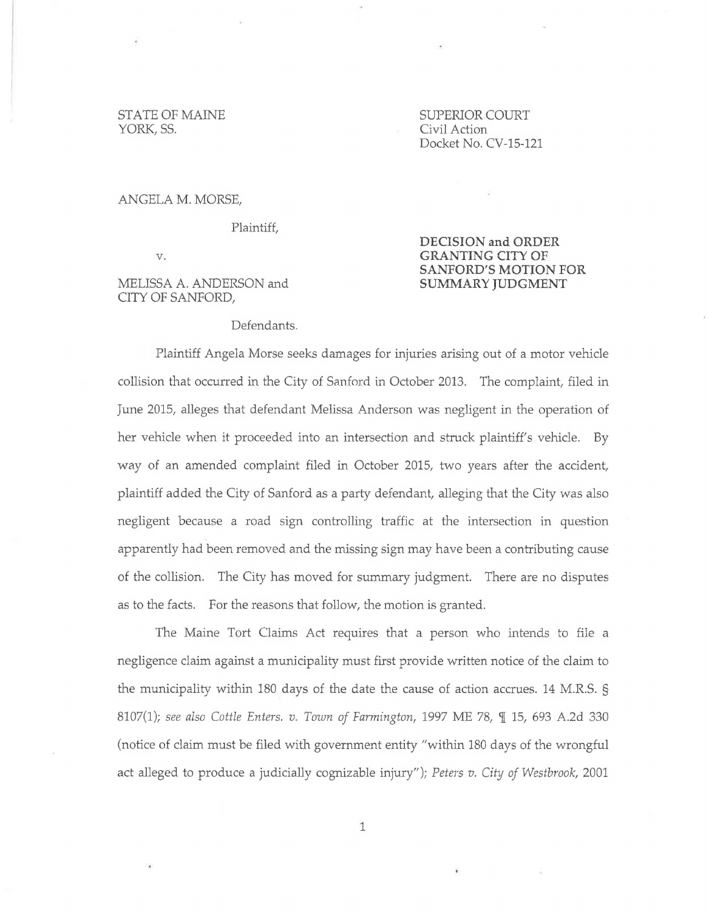# YORK, SS. Civil Action

STATE OF MAINE SUPERIOR COURT Docket No. CV-15-121

> **DECISION and ORDER GRANTING CITY OF**

#### ANGELA M. MORSE,

Plaintiff,

v.

### MELISSA A. ANDERSON and CITY OF SANFORD,

## **SANFORD'S MOTION FOR SUMMARY JUDGMENT**

#### Defendants.

Plaintiff Angela Morse seeks damages for injuries arising out of a motor vehicle collision that occurred in the City of Sanford in October 2013. The complaint, filed in June 2015, alleges that defendant Melissa Anderson was negligent in the operation of her vehicle when it proceeded into an intersection and struck plaintiff's vehicle. By way of an amended complaint filed in October 2015, two years after the accident, plaintiff added the City of Sanford as a party defendant, alleging that the City was also negligent because a road sign controlling traffic at the intersection in question apparently had been removed and the missing sign may have been a contributing cause of the collision. The City has moved for summary judgment. There are no disputes as to the facts. For the reasons that follow, the motion is granted.

The Maine Tort Claims Act requires that a person who intends to file a negligence claim against a municipality must first provide written notice of the claim to the municipality within 180 days of the date the cause of action accrues. 14 M.R.S. § 8107(1); see also Cottle Enters. v. Town of Farmington, 1997 ME 78, ¶ 15, 693 A.2d 330 (notice of claim must be filed with government entity "within 180 days of the wrongful act alleged *to* produce a judicially cognizable injury"); *Peters v. City of Westbrook,* 2001

1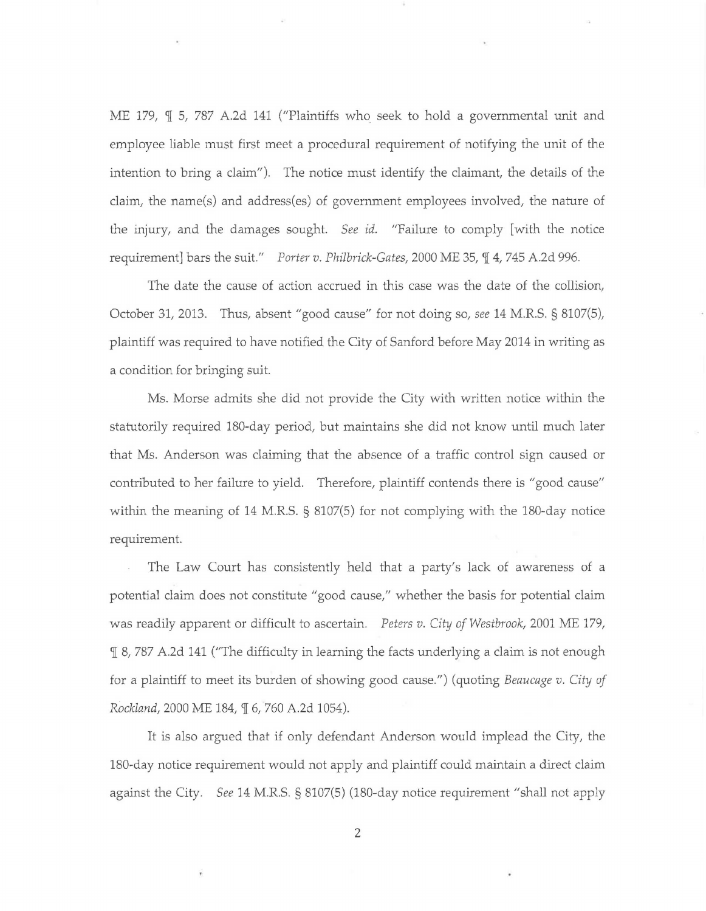ME 179,  $\P$  5, 787 A.2d 141 ("Plaintiffs who seek to hold a governmental unit and employee liable must first meet a procedural requirement of notifying the unit of the intention to bring a claim"). The notice must identify the claimant, the details of the claim, the name(s) and address(es) of government employees involved, the nature of the injury, and the damages sought. *See id.* "Failure to comply [ with the notice requirement] bars the suit." *Porter v. Philbrick-Gates,* 2000 ME 35,  $\mathcal{I}$  4, 745 A.2d 996.

The date the cause of action accrued in this case was the date of the collision, October 31, 2013. Thus, absent "good cause" for not doing so, *see* 14 M.R.S. § 8107(5), plaintiff was required to have notified the City of Sanford before May 2014 in writing as a condition for bringing suit.

Ms. Morse admits she did not provide the City with written notice within the statutorily required 180-day period, but maintains she did not know until much later that Ms. Anderson was claiming that the absence of a traffic control sign caused or contributed to her failure to yield. Therefore, plaintiff contends there is "good cause" within the meaning of 14 M.R.S. § 8107(5) for not complying with the 180-day notice requirement.

The Law Court has consistently held that a party's lack of awareness of a potential claim does not constitute "good cause," whether the basis for potential claim was readily apparent or difficult to ascertain. *Peters v. City of Westbrook,* 2001 ME 179, 'l[ 8, 787 A.2d 141 ("The difficulty in learning the facts underlying a claim is not enough for a plaintiff to meet its burden of showing good cause.") (quoting *Beaucage v. City of Rockland,* 2000 ME 184, 9[ 6, 760 A.2d 1054).

It is also argued that if only defendant Anderson would implead the City, the 180-day notice requirement would not apply and plaintiff could maintain a direct claim against the City. *See* 14 M.R.S. § 8107(5) (180-day notice requirement "shall not apply